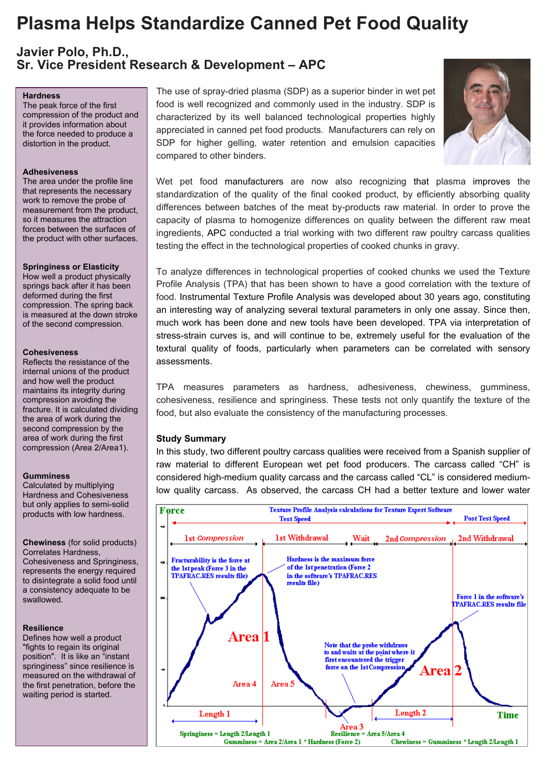# **Plasma Helps Standardize Canned Pet Food Quality**

**Javier Polo, Ph.D., Sr. Vice President Research & Development – APC**

## **Hardness**

The peak force of the first compression of the product and it provides information about the force needed to produce a distortion in the product.

#### **Adhesiveness**

The area under the profile line that represents the necessary work to remove the probe of measurement from the product, so it measures the attraction forces between the surfaces of the product with other surfaces.

#### **Springiness or Elasticity**

How well a product physically springs back after it has been deformed during the first compression. The spring back is measured at the down stroke of the second compression.

#### **Cohesiveness**

Reflects the resistance of the internal unions of the product and how well the product maintains its integrity during compression avoiding the fracture. It is calculated dividing the area of work during the second compression by the area of work during the first compression (Area 2/Area1).

#### **Gumminess**

Calculated by multiplying Hardness and Cohesiveness but only applies to semi-solid products with low hardness.

**Chewiness** (for solid products) Correlates Hardness, Cohesiveness and Springiness, represents the energy required to disintegrate a solid food until a consistency adequate to be swallowed.

## **Resilience**

Defines how well a product "fights to regain its original position". It is like an "instant springiness" since resilience is measured on the withdrawal of the first penetration, before the waiting period is started.

The use of spray-dried plasma (SDP) as a superior binder in wet pet food is well recognized and commonly used in the industry. SDP is characterized by its well balanced technological properties highly appreciated in canned pet food products. Manufacturers can rely on SDP for higher gelling, water retention and emulsion capacities compared to other binders.



Wet pet food manufacturers are now also recognizing that plasma improves the standardization of the quality of the final cooked product, by efficiently absorbing quality differences between batches of the meat by-products raw material. In order to prove the capacity of plasma to homogenize differences on quality between the different raw meat ingredients, APC conducted a trial working with two different raw poultry carcass qualities testing the effect in the technological properties of cooked chunks in gravy.

To analyze differences in technological properties of cooked chunks we used the Texture Profile Analysis (TPA) that has been shown to have a good correlation with the texture of food. Instrumental Texture Profile Analysis was developed about 30 years ago, constituting an interesting way of analyzing several textural parameters in only one assay. Since then, much work has been done and new tools have been developed. TPA via interpretation of stress-strain curves is, and will continue to be, extremely useful for the evaluation of the textural quality of foods, particularly when parameters can be correlated with sensory assessments.

TPA measures parameters as hardness, adhesiveness, chewiness, gumminess, cohesiveness, resilience and springiness. These tests not only quantify the texture of the food, but also evaluate the consistency of the manufacturing processes.

# **Study Summary**

In this study, two different poultry carcass qualities were received from a Spanish supplier of raw material to different European wet pet food producers. The carcass called "CH" is considered high-medium quality carcass and the carcass called "CL" is considered mediumlow quality carcass. As observed, the carcass CH had a better texture and lower water